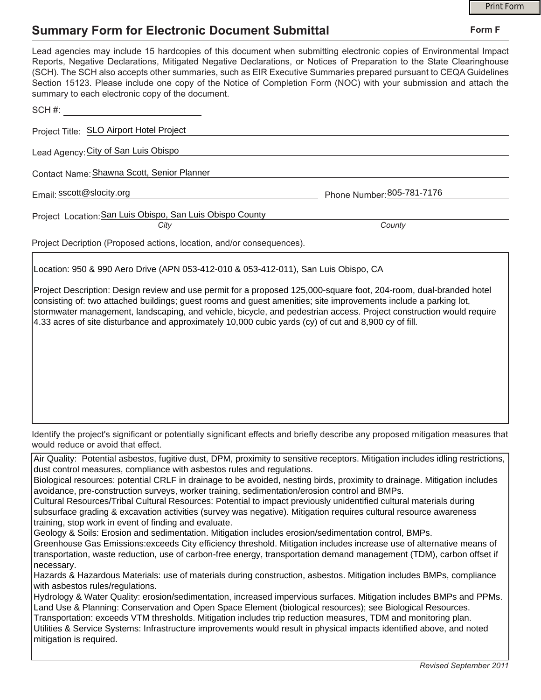## **Summary Form for Electronic Document Submittal**

|                                                                                                                                                                                                                                                                                                                                                                                                                                                                                                                                           |                            | <b>Print Form</b> |
|-------------------------------------------------------------------------------------------------------------------------------------------------------------------------------------------------------------------------------------------------------------------------------------------------------------------------------------------------------------------------------------------------------------------------------------------------------------------------------------------------------------------------------------------|----------------------------|-------------------|
| <b>Summary Form for Electronic Document Submittal</b>                                                                                                                                                                                                                                                                                                                                                                                                                                                                                     |                            | Form F            |
| Lead agencies may include 15 hardcopies of this document when submitting electronic copies of Environmental Impact<br>Reports, Negative Declarations, Mitigated Negative Declarations, or Notices of Preparation to the State Clearinghouse<br>(SCH). The SCH also accepts other summaries, such as EIR Executive Summaries prepared pursuant to CEQA Guidelines<br>Section 15123. Please include one copy of the Notice of Completion Form (NOC) with your submission and attach the<br>summary to each electronic copy of the document. |                            |                   |
| SCH#:                                                                                                                                                                                                                                                                                                                                                                                                                                                                                                                                     |                            |                   |
| Project Title: SLO Airport Hotel Project                                                                                                                                                                                                                                                                                                                                                                                                                                                                                                  |                            |                   |
| Lead Agency: City of San Luis Obispo                                                                                                                                                                                                                                                                                                                                                                                                                                                                                                      |                            |                   |
| Contact Name: Shawna Scott, Senior Planner                                                                                                                                                                                                                                                                                                                                                                                                                                                                                                |                            |                   |
| Email: sscott@slocity.org                                                                                                                                                                                                                                                                                                                                                                                                                                                                                                                 | Phone Number: 805-781-7176 |                   |
| Project Location: San Luis Obispo, San Luis Obispo County                                                                                                                                                                                                                                                                                                                                                                                                                                                                                 |                            |                   |
| City                                                                                                                                                                                                                                                                                                                                                                                                                                                                                                                                      | County                     |                   |
| Project Decription (Proposed actions, location, and/or consequences).                                                                                                                                                                                                                                                                                                                                                                                                                                                                     |                            |                   |

Location: 950 & 990 Aero Drive (APN 053-412-010 & 053-412-011), San Luis Obispo, CA

Project Description: Design review and use permit for a proposed 125,000-square foot, 204-room, dual-branded hotel consisting of: two attached buildings; guest rooms and guest amenities; site improvements include a parking lot, stormwater management, landscaping, and vehicle, bicycle, and pedestrian access. Project construction would require 4.33 acres of site disturbance and approximately 10,000 cubic yards (cy) of cut and 8,900 cy of fill.

Identify the project's significant or potentially significant effects and briefly describe any proposed mitigation measures that would reduce or avoid that effect.

Air Quality: Potential asbestos, fugitive dust, DPM, proximity to sensitive receptors. Mitigation includes idling restrictions, dust control measures, compliance with asbestos rules and regulations.

Biological resources: potential CRLF in drainage to be avoided, nesting birds, proximity to drainage. Mitigation includes avoidance, pre-construction surveys, worker training, sedimentation/erosion control and BMPs.

Cultural Resources/Tribal Cultural Resources: Potential to impact previously unidentified cultural materials during subsurface grading & excavation activities (survey was negative). Mitigation requires cultural resource awareness training, stop work in event of finding and evaluate.

Geology & Soils: Erosion and sedimentation. Mitigation includes erosion/sedimentation control, BMPs.

Greenhouse Gas Emissions:exceeds City efficiency threshold. Mitigation includes increase use of alternative means of transportation, waste reduction, use of carbon-free energy, transportation demand management (TDM), carbon offset if necessary.

Hazards & Hazardous Materials: use of materials during construction, asbestos. Mitigation includes BMPs, compliance with asbestos rules/regulations.

Hydrology & Water Quality: erosion/sedimentation, increased impervious surfaces. Mitigation includes BMPs and PPMs. Land Use & Planning: Conservation and Open Space Element (biological resources); see Biological Resources.

Transportation: exceeds VTM thresholds. Mitigation includes trip reduction measures, TDM and monitoring plan. Utilities & Service Systems: Infrastructure improvements would result in physical impacts identified above, and noted mitigation is required.